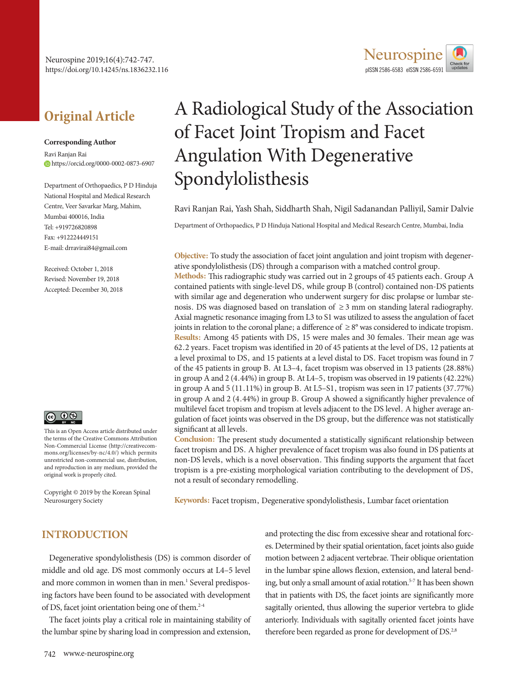

# **Original Article**

#### **Corresponding Author**

Ravi Ranjan Rai https://orcid.org/0000-0002-0873-6907

Department of Orthopaedics, P D Hinduja National Hospital and Medical Research Centre, Veer Savarkar Marg, Mahim, Mumbai 400016, India Tel: +919726820898 Fax: +912224449151 E-mail: drravirai84@gmail.com

Received: October 1, 2018 Revised: November 19, 2018 Accepted: December 30, 2018



This is an Open Access article distributed under the terms of the Creative Commons Attribution Non-Commercial License (http://creativecommons.org/licenses/by-nc/4.0/) which permits unrestricted non-commercial use, distribution, and reproduction in any medium, provided the original work is properly cited.

Copyright © 2019 by the Korean Spinal Neurosurgery Society

# A Radiological Study of the Association of Facet Joint Tropism and Facet Angulation With Degenerative Spondylolisthesis

Ravi Ranjan Rai, Yash Shah, Siddharth Shah, Nigil Sadanandan Palliyil, Samir Dalvie

Department of Orthopaedics, P D Hinduja National Hospital and Medical Research Centre, Mumbai, India

**Objective:** To study the association of facet joint angulation and joint tropism with degenerative spondylolisthesis (DS) through a comparison with a matched control group.

**Methods:** This radiographic study was carried out in 2 groups of 45 patients each. Group A contained patients with single-level DS, while group B (control) contained non-DS patients with similar age and degeneration who underwent surgery for disc prolapse or lumbar stenosis. DS was diagnosed based on translation of ≥ 3 mm on standing lateral radiography. Axial magnetic resonance imaging from L3 to S1 was utilized to assess the angulation of facet joints in relation to the coronal plane; a difference of  $\geq 8^{\circ}$  was considered to indicate tropism. **Results:** Among 45 patients with DS, 15 were males and 30 females. Their mean age was 62.2 years. Facet tropism was identified in 20 of 45 patients at the level of DS, 12 patients at a level proximal to DS, and 15 patients at a level distal to DS. Facet tropism was found in 7 of the 45 patients in group B. At L3–4, facet tropism was observed in 13 patients (28.88%) in group A and 2 (4.44%) in group B. At L4–5, tropism was observed in 19 patients (42.22%) in group A and 5 (11.11%) in group B. At L5–S1, tropism was seen in 17 patients (37.77%) in group A and 2 (4.44%) in group B. Group A showed a significantly higher prevalence of multilevel facet tropism and tropism at levels adjacent to the DS level. A higher average angulation of facet joints was observed in the DS group, but the difference was not statistically significant at all levels.

**Conclusion:** The present study documented a statistically significant relationship between facet tropism and DS. A higher prevalence of facet tropism was also found in DS patients at non-DS levels, which is a novel observation. This finding supports the argument that facet tropism is a pre-existing morphological variation contributing to the development of DS, not a result of secondary remodelling.

**Keywords:** Facet tropism, Degenerative spondylolisthesis, Lumbar facet orientation

# **INTRODUCTION**

Degenerative spondylolisthesis (DS) is common disorder of middle and old age. DS most commonly occurs at L4–5 level and more common in women than in men.<sup>1</sup> Several predisposing factors have been found to be associated with development of DS, facet joint orientation being one of them.<sup>2-4</sup>

The facet joints play a critical role in maintaining stability of the lumbar spine by sharing load in compression and extension,

and protecting the disc from excessive shear and rotational forces. Determined by their spatial orientation, facet joints also guide motion between 2 adjacent vertebrae. Their oblique orientation in the lumbar spine allows flexion, extension, and lateral bending, but only a small amount of axial rotation.<sup>5-7</sup> It has been shown that in patients with DS, the facet joints are significantly more sagitally oriented, thus allowing the superior vertebra to glide anteriorly. Individuals with sagitally oriented facet joints have therefore been regarded as prone for development of  $DS<sup>2,8</sup>$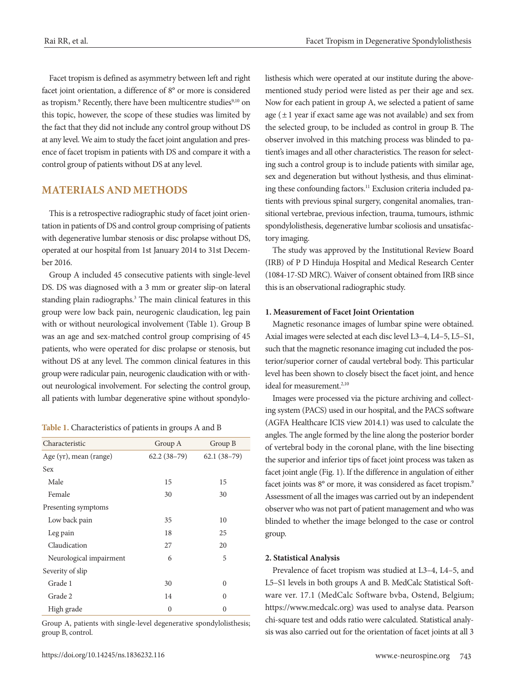Facet tropism is defined as asymmetry between left and right facet joint orientation, a difference of 8° or more is considered as tropism.<sup>9</sup> Recently, there have been multicentre studies<sup>9,10</sup> on this topic, however, the scope of these studies was limited by the fact that they did not include any control group without DS at any level. We aim to study the facet joint angulation and presence of facet tropism in patients with DS and compare it with a control group of patients without DS at any level.

## **MATERIALS AND METHODS**

This is a retrospective radiographic study of facet joint orientation in patients of DS and control group comprising of patients with degenerative lumbar stenosis or disc prolapse without DS, operated at our hospital from 1st January 2014 to 31st December 2016.

Group A included 45 consecutive patients with single-level DS. DS was diagnosed with a 3 mm or greater slip-on lateral standing plain radiographs.<sup>3</sup> The main clinical features in this group were low back pain, neurogenic claudication, leg pain with or without neurological involvement (Table 1). Group B was an age and sex-matched control group comprising of 45 patients, who were operated for disc prolapse or stenosis, but without DS at any level. The common clinical features in this group were radicular pain, neurogenic claudication with or without neurological involvement. For selecting the control group, all patients with lumbar degenerative spine without spondylo-

| Characteristic          | Group A       | Group B       |  |
|-------------------------|---------------|---------------|--|
| Age (yr), mean (range)  | $62.2(38-79)$ | $62.1(38-79)$ |  |
| Sex                     |               |               |  |
| Male                    | 15            | 15            |  |
| Female                  | 30            | 30            |  |
| Presenting symptoms     |               |               |  |
| Low back pain           | 35            | 10            |  |
| Leg pain                | 18            | 25            |  |
| Claudication            | 27            | 20            |  |
| Neurological impairment | 6             | 5             |  |
| Severity of slip        |               |               |  |
| Grade 1                 | 30            | $\theta$      |  |
| Grade 2                 | 14            | 0             |  |
| High grade              | 0             | 0             |  |

Group A, patients with single-level degenerative spondylolisthesis; group B, control.

listhesis which were operated at our institute during the abovementioned study period were listed as per their age and sex. Now for each patient in group A, we selected a patient of same age  $(\pm 1)$  year if exact same age was not available) and sex from the selected group, to be included as control in group B. The observer involved in this matching process was blinded to patient's images and all other characteristics. The reason for selecting such a control group is to include patients with similar age, sex and degeneration but without lysthesis, and thus eliminating these confounding factors.<sup>11</sup> Exclusion criteria included patients with previous spinal surgery, congenital anomalies, transitional vertebrae, previous infection, trauma, tumours, isthmic spondylolisthesis, degenerative lumbar scoliosis and unsatisfactory imaging.

The study was approved by the Institutional Review Board (IRB) of P D Hinduja Hospital and Medical Research Center (1084-17-SD MRC). Waiver of consent obtained from IRB since this is an observational radiographic study.

#### **1. Measurement of Facet Joint Orientation**

Magnetic resonance images of lumbar spine were obtained. Axial images were selected at each disc level L3–4, L4–5, L5–S1, such that the magnetic resonance imaging cut included the posterior/superior corner of caudal vertebral body. This particular level has been shown to closely bisect the facet joint, and hence ideal for measurement.<sup>2,10</sup>

Images were processed via the picture archiving and collecting system (PACS) used in our hospital, and the PACS software (AGFA Healthcare ICIS view 2014.1) was used to calculate the angles. The angle formed by the line along the posterior border of vertebral body in the coronal plane, with the line bisecting the superior and inferior tips of facet joint process was taken as facet joint angle (Fig. 1). If the difference in angulation of either facet joints was 8° or more, it was considered as facet tropism.<sup>9</sup> Assessment of all the images was carried out by an independent observer who was not part of patient management and who was blinded to whether the image belonged to the case or control group.

#### **2. Statistical Analysis**

Prevalence of facet tropism was studied at L3–4, L4–5, and L5–S1 levels in both groups A and B. MedCalc Statistical Software ver. 17.1 (MedCalc Software bvba, Ostend, Belgium; https://www.medcalc.org) was used to analyse data. Pearson chi-square test and odds ratio were calculated. Statistical analysis was also carried out for the orientation of facet joints at all 3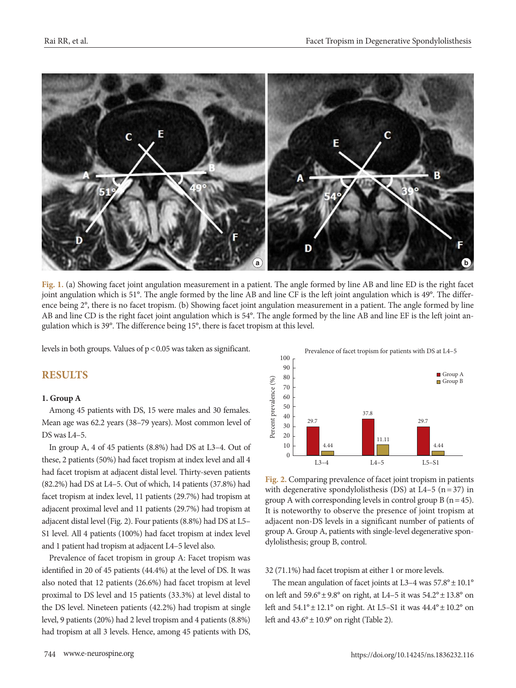

**Fig. 1.** (a) Showing facet joint angulation measurement in a patient. The angle formed by line AB and line ED is the right facet joint angulation which is 51°. The angle formed by the line AB and line CF is the left joint angulation which is 49°. The difference being 2°, there is no facet tropism. (b) Showing facet joint angulation measurement in a patient. The angle formed by line AB and line CD is the right facet joint angulation which is 54°. The angle formed by the line AB and line EF is the left joint angulation which is 39°. The difference being 15°, there is facet tropism at this level.

levels in both groups. Values of p< 0.05 was taken as significant.

# **RESULTS**

#### **1. Group A**

Among 45 patients with DS, 15 were males and 30 females. Mean age was 62.2 years (38–79 years). Most common level of DS was L4–5.

In group A, 4 of 45 patients (8.8%) had DS at L3–4. Out of these, 2 patients (50%) had facet tropism at index level and all 4 had facet tropism at adjacent distal level. Thirty-seven patients (82.2%) had DS at L4–5. Out of which, 14 patients (37.8%) had facet tropism at index level, 11 patients (29.7%) had tropism at adjacent proximal level and 11 patients (29.7%) had tropism at adjacent distal level (Fig. 2). Four patients (8.8%) had DS at L5– S1 level. All 4 patients (100%) had facet tropism at index level and 1 patient had tropism at adjacent L4–5 level also.

Prevalence of facet tropism in group A: Facet tropism was identified in 20 of 45 patients (44.4%) at the level of DS. It was also noted that 12 patients (26.6%) had facet tropism at level proximal to DS level and 15 patients (33.3%) at level distal to the DS level. Nineteen patients (42.2%) had tropism at single level, 9 patients (20%) had 2 level tropism and 4 patients (8.8%) had tropism at all 3 levels. Hence, among 45 patients with DS,



**Fig. 2.** Comparing prevalence of facet joint tropism in patients with degenerative spondylolisthesis (DS) at L4–5 ( $n = 37$ ) in group A with corresponding levels in control group B ( $n=45$ ). It is noteworthy to observe the presence of joint tropism at adjacent non-DS levels in a significant number of patients of group A. Group A, patients with single-level degenerative spondylolisthesis; group B, control.

#### 32 (71.1%) had facet tropism at either 1 or more levels.

The mean angulation of facet joints at L3–4 was  $57.8^{\circ} \pm 10.1^{\circ}$ on left and  $59.6^{\circ} \pm 9.8^{\circ}$  on right, at L4–5 it was  $54.2^{\circ} \pm 13.8^{\circ}$  on left and 54.1°± 12.1° on right. At L5–S1 it was 44.4°± 10.2° on left and  $43.6^{\circ} \pm 10.9^{\circ}$  on right (Table 2).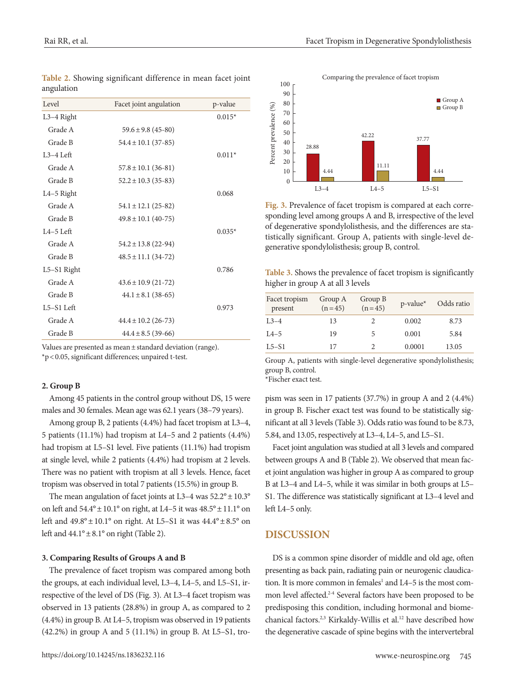| Level        | Facet joint angulation  | p-value  |
|--------------|-------------------------|----------|
| $L3-4$ Right |                         | $0.015*$ |
| Grade A      | $59.6 \pm 9.8$ (45-80)  |          |
| Grade B      | $54.4 \pm 10.1$ (37-85) |          |
| $L3-4$ Left  |                         | $0.011*$ |
| Grade A      | $57.8 \pm 10.1$ (36-81) |          |
| Grade B      | $52.2 \pm 10.3$ (35-83) |          |
| $L4-5$ Right |                         | 0.068    |
| Grade A      | $54.1 \pm 12.1$ (25-82) |          |
| Grade B      | $49.8 \pm 10.1$ (40-75) |          |
| $I.4-5$ Left |                         | $0.035*$ |
| Grade A      | $54.2 \pm 13.8$ (22-94) |          |
| Grade B      | $48.5 \pm 11.1$ (34-72) |          |
| L5-S1 Right  |                         | 0.786    |
| Grade A      | $43.6 \pm 10.9$ (21-72) |          |
| Grade B      | $44.1 \pm 8.1$ (38-65)  |          |
| $L5-S1$ Left |                         | 0.973    |
| Grade A      | $44.4 \pm 10.2$ (26-73) |          |
| Grade B      | $44.4 \pm 8.5$ (39-66)  |          |

**Table 2.** Showing significant difference in mean facet joint angulation

Values are presented as mean ± standard deviation (range). \*p < 0.05, significant differences; unpaired t-test.

#### **2. Group B**

Among 45 patients in the control group without DS, 15 were males and 30 females. Mean age was 62.1 years (38–79 years).

Among group B, 2 patients (4.4%) had facet tropism at L3–4, 5 patients (11.1%) had tropism at L4–5 and 2 patients (4.4%) had tropism at L5–S1 level. Five patients (11.1%) had tropism at single level, while 2 patients (4.4%) had tropism at 2 levels. There was no patient with tropism at all 3 levels. Hence, facet tropism was observed in total 7 patients (15.5%) in group B.

The mean angulation of facet joints at L3–4 was  $52.2^{\circ} \pm 10.3^{\circ}$ on left and  $54.4^{\circ} \pm 10.1^{\circ}$  on right, at L4–5 it was  $48.5^{\circ} \pm 11.1^{\circ}$  on left and 49.8°± 10.1° on right. At L5–S1 it was 44.4°± 8.5° on left and  $44.1^{\circ} \pm 8.1^{\circ}$  on right (Table 2).

#### **3. Comparing Results of Groups A and B**

The prevalence of facet tropism was compared among both the groups, at each individual level, L3–4, L4–5, and L5–S1, irrespective of the level of DS (Fig. 3). At L3–4 facet tropism was observed in 13 patients (28.8%) in group A, as compared to 2 (4.4%) in group B. At L4–5, tropism was observed in 19 patients  $(42.2\%)$  in group A and 5  $(11.1\%)$  in group B. At L5–S1, tro-



**Fig. 3.** Prevalence of facet tropism is compared at each corresponding level among groups A and B, irrespective of the level of degenerative spondylolisthesis, and the differences are statistically significant. Group A, patients with single-level degenerative spondylolisthesis; group B, control.

**Table 3.** Shows the prevalence of facet tropism is significantly higher in group A at all 3 levels

| Facet tropism<br>present | Group A<br>$(n=45)$ | Group B<br>$(n=45)$         | $p$ -value* | Odds ratio |
|--------------------------|---------------------|-----------------------------|-------------|------------|
| $1.3 - 4$                | 13                  | 2                           | 0.002       | 8.73       |
| $L4-5$                   | 19                  | 5                           | 0.001       | 5.84       |
| $L5-S1$                  | 17                  | $\mathcal{D}_{\mathcal{L}}$ | 0.0001      | 13.05      |

Group A, patients with single-level degenerative spondylolisthesis; group B, control.

\*Fischer exact test.

pism was seen in 17 patients (37.7%) in group A and 2 (4.4%) in group B. Fischer exact test was found to be statistically significant at all 3 levels (Table 3). Odds ratio was found to be 8.73, 5.84, and 13.05, respectively at L3–4, L4–5, and L5–S1.

Facet joint angulation was studied at all 3 levels and compared between groups A and B (Table 2). We observed that mean facet joint angulation was higher in group A as compared to group B at L3–4 and L4–5, while it was similar in both groups at L5– S1. The difference was statistically significant at L3–4 level and left L4–5 only.

#### **DISCUSSION**

DS is a common spine disorder of middle and old age, often presenting as back pain, radiating pain or neurogenic claudication. It is more common in females<sup>1</sup> and  $L4-5$  is the most common level affected.<sup>2-4</sup> Several factors have been proposed to be predisposing this condition, including hormonal and biomechanical factors.<sup>2,3</sup> Kirkaldy-Willis et al.<sup>12</sup> have described how the degenerative cascade of spine begins with the intervertebral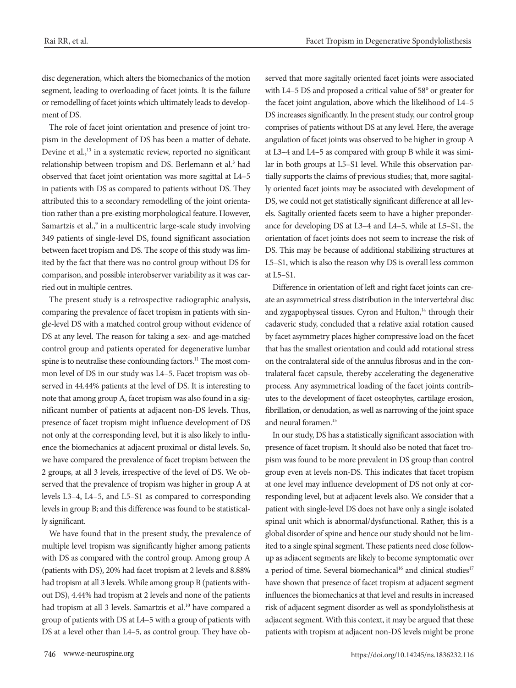disc degeneration, which alters the biomechanics of the motion segment, leading to overloading of facet joints. It is the failure or remodelling of facet joints which ultimately leads to development of DS.

The role of facet joint orientation and presence of joint tropism in the development of DS has been a matter of debate. Devine et al.,<sup>13</sup> in a systematic review, reported no significant relationship between tropism and DS. Berlemann et al.<sup>3</sup> had observed that facet joint orientation was more sagittal at L4–5 in patients with DS as compared to patients without DS. They attributed this to a secondary remodelling of the joint orientation rather than a pre-existing morphological feature. However, Samartzis et al.,<sup>9</sup> in a multicentric large-scale study involving 349 patients of single-level DS, found significant association between facet tropism and DS. The scope of this study was limited by the fact that there was no control group without DS for comparison, and possible interobserver variability as it was carried out in multiple centres.

The present study is a retrospective radiographic analysis, comparing the prevalence of facet tropism in patients with single-level DS with a matched control group without evidence of DS at any level. The reason for taking a sex- and age-matched control group and patients operated for degenerative lumbar spine is to neutralise these confounding factors.<sup>11</sup> The most common level of DS in our study was L4–5. Facet tropism was observed in 44.44% patients at the level of DS. It is interesting to note that among group A, facet tropism was also found in a significant number of patients at adjacent non-DS levels. Thus, presence of facet tropism might influence development of DS not only at the corresponding level, but it is also likely to influence the biomechanics at adjacent proximal or distal levels. So, we have compared the prevalence of facet tropism between the 2 groups, at all 3 levels, irrespective of the level of DS. We observed that the prevalence of tropism was higher in group A at levels L3–4, L4–5, and L5–S1 as compared to corresponding levels in group B; and this difference was found to be statistically significant.

We have found that in the present study, the prevalence of multiple level tropism was significantly higher among patients with DS as compared with the control group. Among group A (patients with DS), 20% had facet tropism at 2 levels and 8.88% had tropism at all 3 levels. While among group B (patients without DS), 4.44% had tropism at 2 levels and none of the patients had tropism at all 3 levels. Samartzis et al.<sup>10</sup> have compared a group of patients with DS at L4–5 with a group of patients with DS at a level other than L4–5, as control group. They have observed that more sagitally oriented facet joints were associated with L4–5 DS and proposed a critical value of 58° or greater for the facet joint angulation, above which the likelihood of L4–5 DS increases significantly. In the present study, our control group comprises of patients without DS at any level. Here, the average angulation of facet joints was observed to be higher in group A at L3–4 and L4–5 as compared with group B while it was similar in both groups at L5–S1 level. While this observation partially supports the claims of previous studies; that, more sagitally oriented facet joints may be associated with development of DS, we could not get statistically significant difference at all levels. Sagitally oriented facets seem to have a higher preponderance for developing DS at L3–4 and L4–5, while at L5–S1, the orientation of facet joints does not seem to increase the risk of DS. This may be because of additional stabilizing structures at L5–S1, which is also the reason why DS is overall less common at L5–S1.

Difference in orientation of left and right facet joints can create an asymmetrical stress distribution in the intervertebral disc and zygapophyseal tissues. Cyron and Hulton,<sup>14</sup> through their cadaveric study, concluded that a relative axial rotation caused by facet asymmetry places higher compressive load on the facet that has the smallest orientation and could add rotational stress on the contralateral side of the annulus fibrosus and in the contralateral facet capsule, thereby accelerating the degenerative process. Any asymmetrical loading of the facet joints contributes to the development of facet osteophytes, cartilage erosion, fibrillation, or denudation, as well as narrowing of the joint space and neural foramen.15

In our study, DS has a statistically significant association with presence of facet tropism. It should also be noted that facet tropism was found to be more prevalent in DS group than control group even at levels non-DS. This indicates that facet tropism at one level may influence development of DS not only at corresponding level, but at adjacent levels also. We consider that a patient with single-level DS does not have only a single isolated spinal unit which is abnormal/dysfunctional. Rather, this is a global disorder of spine and hence our study should not be limited to a single spinal segment. These patients need close followup as adjacent segments are likely to become symptomatic over a period of time. Several biomechanical<sup>16</sup> and clinical studies<sup>17</sup> have shown that presence of facet tropism at adjacent segment influences the biomechanics at that level and results in increased risk of adjacent segment disorder as well as spondylolisthesis at adjacent segment. With this context, it may be argued that these patients with tropism at adjacent non-DS levels might be prone